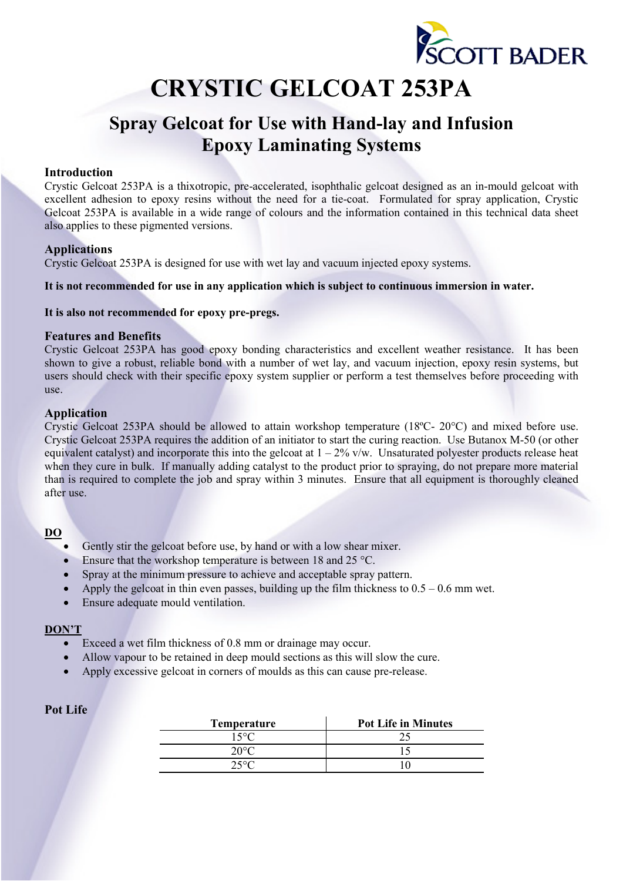

# **CRYSTIC GELCOAT 253PA**

# **Spray Gelcoat for Use with Hand-lay and Infusion Epoxy Laminating Systems**

### **Introduction**

Crystic Gelcoat 253PA is a thixotropic, pre-accelerated, isophthalic gelcoat designed as an in-mould gelcoat with excellent adhesion to epoxy resins without the need for a tie-coat. Formulated for spray application, Crystic Gelcoat 253PA is available in a wide range of colours and the information contained in this technical data sheet also applies to these pigmented versions.

### **Applications**

Crystic Gelcoat 253PA is designed for use with wet lay and vacuum injected epoxy systems.

**It is not recommended for use in any application which is subject to continuous immersion in water.** 

#### **It is also not recommended for epoxy pre-pregs.**

### **Features and Benefits**

Crystic Gelcoat 253PA has good epoxy bonding characteristics and excellent weather resistance. It has been shown to give a robust, reliable bond with a number of wet lay, and vacuum injection, epoxy resin systems, but users should check with their specific epoxy system supplier or perform a test themselves before proceeding with use.

### **Application**

Crystic Gelcoat 253PA should be allowed to attain workshop temperature (18ºC- 20°C) and mixed before use. Crystic Gelcoat 253PA requires the addition of an initiator to start the curing reaction. Use Butanox M-50 (or other equivalent catalyst) and incorporate this into the gelcoat at  $1 - 2\%$  v/w. Unsaturated polyester products release heat when they cure in bulk. If manually adding catalyst to the product prior to spraying, do not prepare more material than is required to complete the job and spray within 3 minutes. Ensure that all equipment is thoroughly cleaned after use.

#### **DO**

- Gently stir the gelcoat before use, by hand or with a low shear mixer.
- Ensure that the workshop temperature is between 18 and 25  $^{\circ}$ C.
- Spray at the minimum pressure to achieve and acceptable spray pattern.
- Apply the gelcoat in thin even passes, building up the film thickness to  $0.5 0.6$  mm wet.
- Ensure adequate mould ventilation.

#### **DON'T**

- Exceed a wet film thickness of 0.8 mm or drainage may occur.
- Allow vapour to be retained in deep mould sections as this will slow the cure.
- Apply excessive gelcoat in corners of moulds as this can cause pre-release.

# **Pot Life**

| <b>Temperature</b> | <b>Pot Life in Minutes</b> |
|--------------------|----------------------------|
| 15°C               |                            |
| 20° $\cap$         |                            |
| $25^{\circ}C$      |                            |